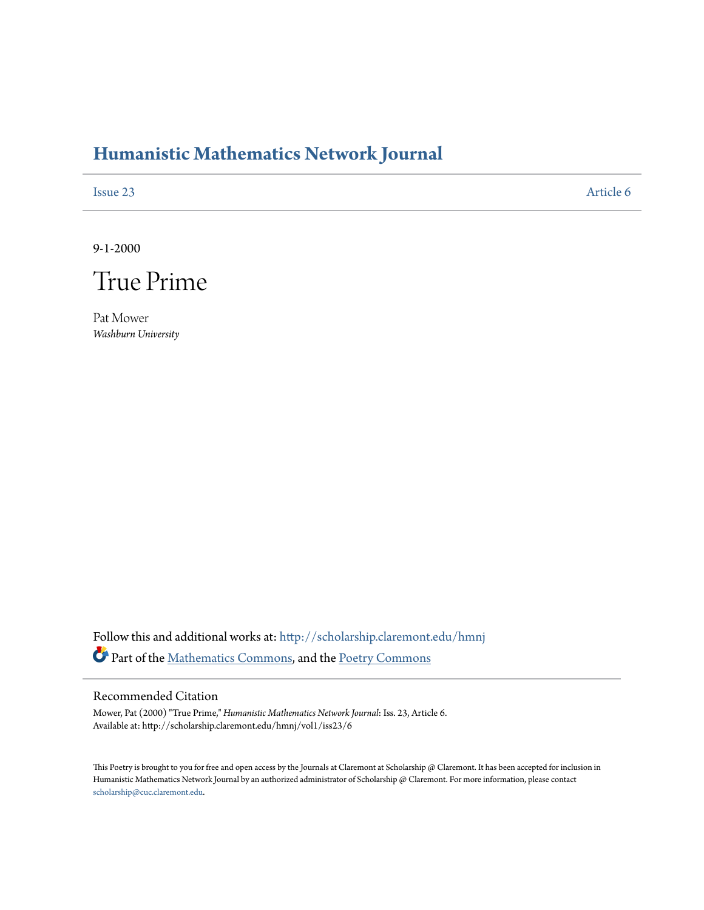# **[Humanistic Mathematics Network Journal](http://scholarship.claremont.edu/hmnj?utm_source=scholarship.claremont.edu%2Fhmnj%2Fvol1%2Fiss23%2F6&utm_medium=PDF&utm_campaign=PDFCoverPages)**

[Issue 23](http://scholarship.claremont.edu/hmnj/vol1/iss23?utm_source=scholarship.claremont.edu%2Fhmnj%2Fvol1%2Fiss23%2F6&utm_medium=PDF&utm_campaign=PDFCoverPages) [Article 6](http://scholarship.claremont.edu/hmnj/vol1/iss23/6?utm_source=scholarship.claremont.edu%2Fhmnj%2Fvol1%2Fiss23%2F6&utm_medium=PDF&utm_campaign=PDFCoverPages)

9-1-2000



Pat Mower *Washburn University*

Follow this and additional works at: [http://scholarship.claremont.edu/hmnj](http://scholarship.claremont.edu/hmnj?utm_source=scholarship.claremont.edu%2Fhmnj%2Fvol1%2Fiss23%2F6&utm_medium=PDF&utm_campaign=PDFCoverPages) Part of the [Mathematics Commons](http://network.bepress.com/hgg/discipline/174?utm_source=scholarship.claremont.edu%2Fhmnj%2Fvol1%2Fiss23%2F6&utm_medium=PDF&utm_campaign=PDFCoverPages), and the [Poetry Commons](http://network.bepress.com/hgg/discipline/1153?utm_source=scholarship.claremont.edu%2Fhmnj%2Fvol1%2Fiss23%2F6&utm_medium=PDF&utm_campaign=PDFCoverPages)

# Recommended Citation

Mower, Pat (2000) "True Prime," *Humanistic Mathematics Network Journal*: Iss. 23, Article 6. Available at: http://scholarship.claremont.edu/hmnj/vol1/iss23/6

This Poetry is brought to you for free and open access by the Journals at Claremont at Scholarship  $@$  Claremont. It has been accepted for inclusion in Humanistic Mathematics Network Journal by an authorized administrator of Scholarship @ Claremont. For more information, please contact [scholarship@cuc.claremont.edu.](mailto:scholarship@cuc.claremont.edu)